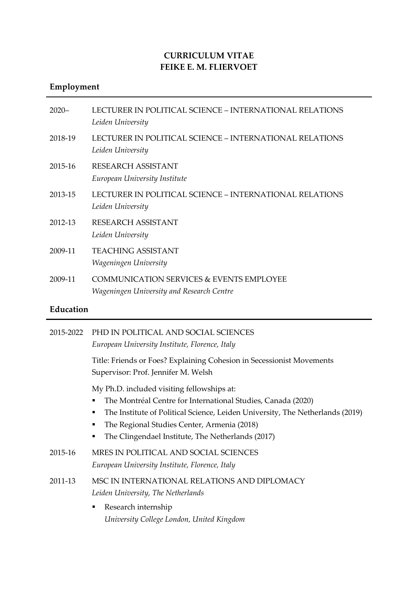# **CURRICULUM VITAE FEIKE E. M. FLIERVOET**

# **Employment**

| $2020 -$ | LECTURER IN POLITICAL SCIENCE – INTERNATIONAL RELATIONS<br>Leiden University                     |
|----------|--------------------------------------------------------------------------------------------------|
| 2018-19  | LECTURER IN POLITICAL SCIENCE – INTERNATIONAL RELATIONS<br>Leiden University                     |
| 2015-16  | RESEARCH ASSISTANT<br>European University Institute                                              |
| 2013-15  | LECTURER IN POLITICAL SCIENCE – INTERNATIONAL RELATIONS<br>Leiden University                     |
| 2012-13  | RESEARCH ASSISTANT<br>Leiden University                                                          |
| 2009-11  | <b>TEACHING ASSISTANT</b><br>Wageningen University                                               |
| 2009-11  | <b>COMMUNICATION SERVICES &amp; EVENTS EMPLOYEE</b><br>Wageningen University and Research Centre |

# **Education**

| 2015-2022 | PHD IN POLITICAL AND SOCIAL SCIENCES<br>European University Institute, Florence, Italy                                                                                                                                                                                                                         |
|-----------|----------------------------------------------------------------------------------------------------------------------------------------------------------------------------------------------------------------------------------------------------------------------------------------------------------------|
|           | Title: Friends or Foes? Explaining Cohesion in Secessionist Movements<br>Supervisor: Prof. Jennifer M. Welsh                                                                                                                                                                                                   |
|           | My Ph.D. included visiting fellowships at:<br>The Montréal Centre for International Studies, Canada (2020)<br>٠<br>The Institute of Political Science, Leiden University, The Netherlands (2019)<br>٠<br>The Regional Studies Center, Armenia (2018)<br>The Clingendael Institute, The Netherlands (2017)<br>٠ |
| 2015-16   | MRES IN POLITICAL AND SOCIAL SCIENCES<br>European University Institute, Florence, Italy                                                                                                                                                                                                                        |
| 2011-13   | MSC IN INTERNATIONAL RELATIONS AND DIPLOMACY<br>Leiden University, The Netherlands                                                                                                                                                                                                                             |
|           | Research internship<br>٠<br>University College London, United Kingdom                                                                                                                                                                                                                                          |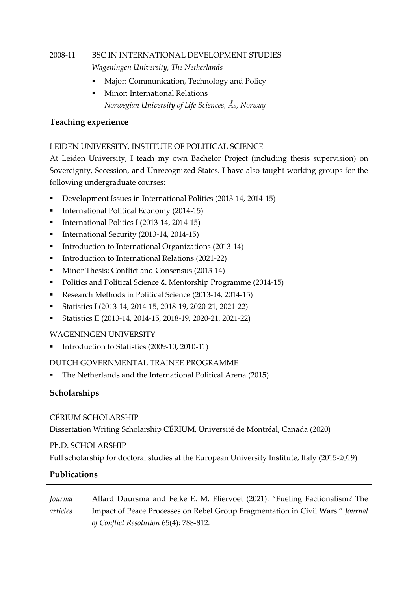# 2008-11 BSC IN INTERNATIONAL DEVELOPMENT STUDIES *Wageningen University, The Netherlands*

- Major: Communication, Technology and Policy
- Minor: International Relations *Norwegian University of Life Sciences, Ås, Norway*

## **Teaching experience**

### LEIDEN UNIVERSITY, INSTITUTE OF POLITICAL SCIENCE

At Leiden University, I teach my own Bachelor Project (including thesis supervision) on Sovereignty, Secession, and Unrecognized States. I have also taught working groups for the following undergraduate courses:

- Development Issues in International Politics (2013-14, 2014-15)
- **•** International Political Economy (2014-15)
- International Politics I (2013-14, 2014-15)
- International Security (2013-14, 2014-15)
- **•** Introduction to International Organizations (2013-14)
- Introduction to International Relations (2021-22)
- Minor Thesis: Conflict and Consensus (2013-14)
- Politics and Political Science & Mentorship Programme (2014-15)
- Research Methods in Political Science (2013-14, 2014-15)
- Statistics I (2013-14, 2014-15, 2018-19, 2020-21, 2021-22)
- Statistics II (2013-14, 2014-15, 2018-19, 2020-21, 2021-22)

#### WAGENINGEN UNIVERSITY

Introduction to Statistics (2009-10, 2010-11)

#### DUTCH GOVERNMENTAL TRAINEE PROGRAMME

The Netherlands and the International Political Arena (2015)

### **Scholarships**

#### CÉRIUM SCHOLARSHIP

Dissertation Writing Scholarship CÉRIUM, Université de Montréal, Canada (2020)

#### Ph.D. SCHOLARSHIP

Full scholarship for doctoral studies at the European University Institute, Italy (2015-2019)

### **Publications**

*Journal articles* Allard Duursma and Feike E. M. Fliervoet (2021). "Fueling Factionalism? The Impact of Peace Processes on Rebel Group Fragmentation in Civil Wars." *Journal of Conflict Resolution* 65(4): 788-812*.*